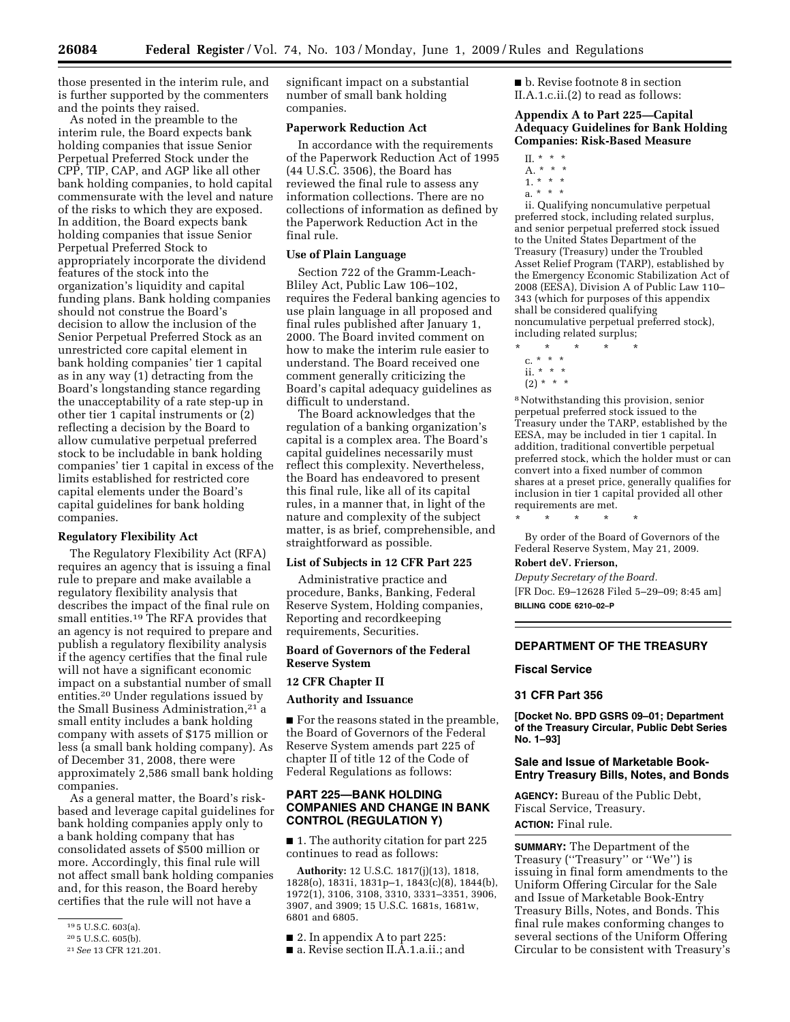those presented in the interim rule, and is further supported by the commenters and the points they raised.

As noted in the preamble to the interim rule, the Board expects bank holding companies that issue Senior Perpetual Preferred Stock under the CPP, TIP, CAP, and AGP like all other bank holding companies, to hold capital commensurate with the level and nature of the risks to which they are exposed. In addition, the Board expects bank holding companies that issue Senior Perpetual Preferred Stock to appropriately incorporate the dividend features of the stock into the organization's liquidity and capital funding plans. Bank holding companies should not construe the Board's decision to allow the inclusion of the Senior Perpetual Preferred Stock as an unrestricted core capital element in bank holding companies' tier 1 capital as in any way (1) detracting from the Board's longstanding stance regarding the unacceptability of a rate step-up in other tier 1 capital instruments or (2) reflecting a decision by the Board to allow cumulative perpetual preferred stock to be includable in bank holding companies' tier 1 capital in excess of the limits established for restricted core capital elements under the Board's capital guidelines for bank holding companies.

#### **Regulatory Flexibility Act**

The Regulatory Flexibility Act (RFA) requires an agency that is issuing a final rule to prepare and make available a regulatory flexibility analysis that describes the impact of the final rule on small entities.19 The RFA provides that an agency is not required to prepare and publish a regulatory flexibility analysis if the agency certifies that the final rule will not have a significant economic impact on a substantial number of small entities.20 Under regulations issued by the Small Business Administration,<sup>21</sup> a small entity includes a bank holding company with assets of \$175 million or less (a small bank holding company). As of December 31, 2008, there were approximately 2,586 small bank holding companies.

As a general matter, the Board's riskbased and leverage capital guidelines for bank holding companies apply only to a bank holding company that has consolidated assets of \$500 million or more. Accordingly, this final rule will not affect small bank holding companies and, for this reason, the Board hereby certifies that the rule will not have a

significant impact on a substantial number of small bank holding companies.

## **Paperwork Reduction Act**

In accordance with the requirements of the Paperwork Reduction Act of 1995 (44 U.S.C. 3506), the Board has reviewed the final rule to assess any information collections. There are no collections of information as defined by the Paperwork Reduction Act in the final rule.

#### **Use of Plain Language**

Section 722 of the Gramm-Leach-Bliley Act, Public Law 106–102, requires the Federal banking agencies to use plain language in all proposed and final rules published after January 1, 2000. The Board invited comment on how to make the interim rule easier to understand. The Board received one comment generally criticizing the Board's capital adequacy guidelines as difficult to understand.

The Board acknowledges that the regulation of a banking organization's capital is a complex area. The Board's capital guidelines necessarily must reflect this complexity. Nevertheless, the Board has endeavored to present this final rule, like all of its capital rules, in a manner that, in light of the nature and complexity of the subject matter, is as brief, comprehensible, and straightforward as possible.

### **List of Subjects in 12 CFR Part 225**

Administrative practice and procedure, Banks, Banking, Federal Reserve System, Holding companies, Reporting and recordkeeping requirements, Securities.

# **Board of Governors of the Federal Reserve System**

# **12 CFR Chapter II**

**Authority and Issuance** 

■ For the reasons stated in the preamble, the Board of Governors of the Federal Reserve System amends part 225 of chapter II of title 12 of the Code of Federal Regulations as follows:

# **PART 225—BANK HOLDING COMPANIES AND CHANGE IN BANK CONTROL (REGULATION Y)**

■ 1. The authority citation for part 225 continues to read as follows:

**Authority:** 12 U.S.C. 1817(j)(13), 1818, 1828(o), 1831i, 1831p–1, 1843(c)(8), 1844(b), 1972(1), 3106, 3108, 3310, 3331–3351, 3906, 3907, and 3909; 15 U.S.C. 1681s, 1681w, 6801 and 6805.

- 2. In appendix A to part 225:
- a. Revise section II.A.1.a.ii.; and

■ b. Revise footnote 8 in section II.A.1.c.ii.(2) to read as follows:

## **Appendix A to Part 225—Capital Adequacy Guidelines for Bank Holding Companies: Risk-Based Measure**

- II. \* \* \*
- A. \* \* \*
- $1. * * * *$
- a. \* \* \*

ii. Qualifying noncumulative perpetual preferred stock, including related surplus, and senior perpetual preferred stock issued to the United States Department of the Treasury (Treasury) under the Troubled Asset Relief Program (TARP), established by the Emergency Economic Stabilization Act of 2008 (EESA), Division A of Public Law 110– 343 (which for purposes of this appendix shall be considered qualifying noncumulative perpetual preferred stock), including related surplus;

- \* \* \* \* \*
	- c. \* \* \*
- ii. \* \* \*  $(2) * * * *$

8 Notwithstanding this provision, senior perpetual preferred stock issued to the Treasury under the TARP, established by the EESA, may be included in tier 1 capital. In addition, traditional convertible perpetual preferred stock, which the holder must or can convert into a fixed number of common shares at a preset price, generally qualifies for inclusion in tier 1 capital provided all other requirements are met.

\* \* \* \* \*

By order of the Board of Governors of the Federal Reserve System, May 21, 2009.

# **Robert deV. Frierson,**

*Deputy Secretary of the Board.*  [FR Doc. E9–12628 Filed 5–29–09; 8:45 am] **BILLING CODE 6210–02–P** 

## **DEPARTMENT OF THE TREASURY**

#### **Fiscal Service**

# **31 CFR Part 356**

**[Docket No. BPD GSRS 09–01; Department of the Treasury Circular, Public Debt Series No. 1–93]** 

#### **Sale and Issue of Marketable Book-Entry Treasury Bills, Notes, and Bonds**

**AGENCY:** Bureau of the Public Debt, Fiscal Service, Treasury. **ACTION:** Final rule.

**SUMMARY:** The Department of the Treasury (''Treasury'' or ''We'') is issuing in final form amendments to the Uniform Offering Circular for the Sale and Issue of Marketable Book-Entry Treasury Bills, Notes, and Bonds. This final rule makes conforming changes to several sections of the Uniform Offering Circular to be consistent with Treasury's

<sup>19 5</sup> U.S.C. 603(a).

<sup>20 5</sup> U.S.C. 605(b).

<sup>21</sup> *See* 13 CFR 121.201.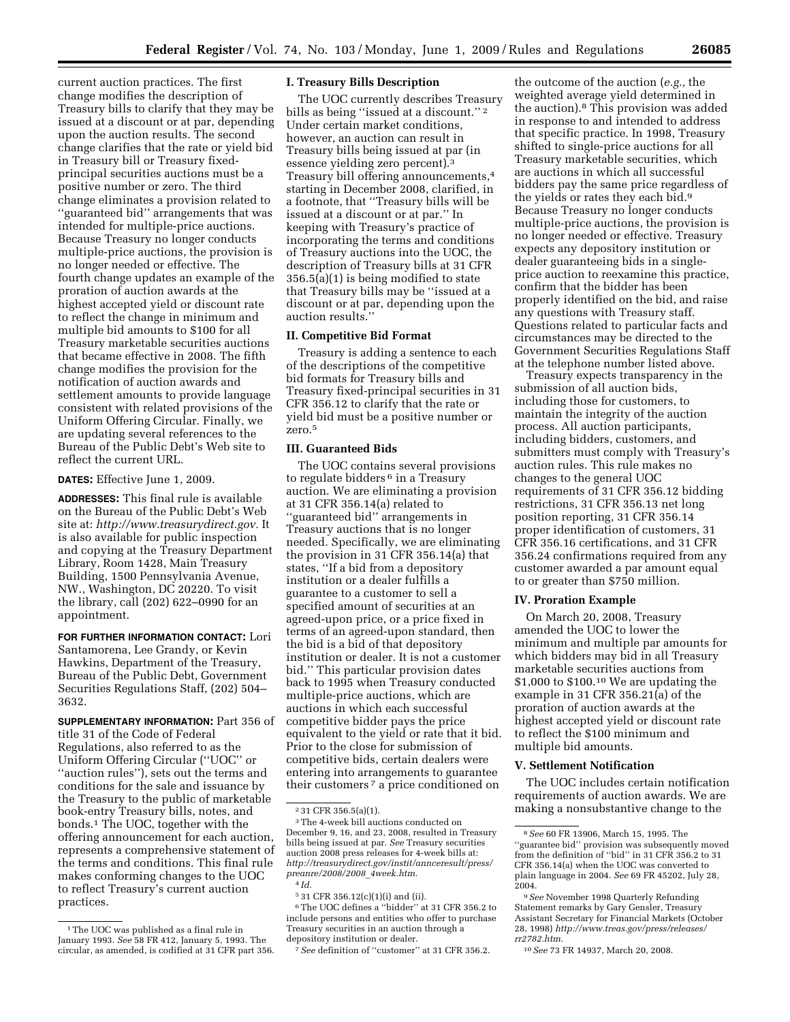current auction practices. The first change modifies the description of Treasury bills to clarify that they may be issued at a discount or at par, depending upon the auction results. The second change clarifies that the rate or yield bid in Treasury bill or Treasury fixedprincipal securities auctions must be a positive number or zero. The third change eliminates a provision related to ''guaranteed bid'' arrangements that was intended for multiple-price auctions. Because Treasury no longer conducts multiple-price auctions, the provision is no longer needed or effective. The fourth change updates an example of the proration of auction awards at the highest accepted yield or discount rate to reflect the change in minimum and multiple bid amounts to \$100 for all Treasury marketable securities auctions that became effective in 2008. The fifth change modifies the provision for the notification of auction awards and settlement amounts to provide language consistent with related provisions of the Uniform Offering Circular. Finally, we are updating several references to the Bureau of the Public Debt's Web site to reflect the current URL.

**DATES:** Effective June 1, 2009.

**ADDRESSES:** This final rule is available on the Bureau of the Public Debt's Web site at: *[http://www.treasurydirect.gov.](http://www.treasurydirect.gov)* It is also available for public inspection and copying at the Treasury Department Library, Room 1428, Main Treasury Building, 1500 Pennsylvania Avenue, NW., Washington, DC 20220. To visit the library, call (202) 622–0990 for an appointment.

**FOR FURTHER INFORMATION CONTACT:** Lori Santamorena, Lee Grandy, or Kevin Hawkins, Department of the Treasury, Bureau of the Public Debt, Government Securities Regulations Staff, (202) 504– 3632.

**SUPPLEMENTARY INFORMATION:** Part 356 of title 31 of the Code of Federal Regulations, also referred to as the Uniform Offering Circular (''UOC'' or ''auction rules''), sets out the terms and conditions for the sale and issuance by the Treasury to the public of marketable book-entry Treasury bills, notes, and bonds.1 The UOC, together with the offering announcement for each auction, represents a comprehensive statement of the terms and conditions. This final rule makes conforming changes to the UOC to reflect Treasury's current auction practices.

# **I. Treasury Bills Description**

The UOC currently describes Treasury bills as being "issued at a discount."<sup>2</sup> Under certain market conditions, however, an auction can result in Treasury bills being issued at par (in essence yielding zero percent).3 Treasury bill offering announcements,4 starting in December 2008, clarified, in a footnote, that ''Treasury bills will be issued at a discount or at par.'' In keeping with Treasury's practice of incorporating the terms and conditions of Treasury auctions into the UOC, the description of Treasury bills at 31 CFR 356.5(a)(1) is being modified to state that Treasury bills may be ''issued at a discount or at par, depending upon the auction results.''

## **II. Competitive Bid Format**

Treasury is adding a sentence to each of the descriptions of the competitive bid formats for Treasury bills and Treasury fixed-principal securities in 31 CFR 356.12 to clarify that the rate or yield bid must be a positive number or zero.5

## **III. Guaranteed Bids**

The UOC contains several provisions to regulate bidders<sup>6</sup> in a Treasury auction. We are eliminating a provision at 31 CFR 356.14(a) related to ''guaranteed bid'' arrangements in Treasury auctions that is no longer needed. Specifically, we are eliminating the provision in 31 CFR 356.14(a) that states, ''If a bid from a depository institution or a dealer fulfills a guarantee to a customer to sell a specified amount of securities at an agreed-upon price, or a price fixed in terms of an agreed-upon standard, then the bid is a bid of that depository institution or dealer. It is not a customer bid.'' This particular provision dates back to 1995 when Treasury conducted multiple-price auctions, which are auctions in which each successful competitive bidder pays the price equivalent to the yield or rate that it bid. Prior to the close for submission of competitive bids, certain dealers were entering into arrangements to guarantee their customers 7 a price conditioned on

the outcome of the auction (*e.g.,* the weighted average yield determined in the auction).8 This provision was added in response to and intended to address that specific practice. In 1998, Treasury shifted to single-price auctions for all Treasury marketable securities, which are auctions in which all successful bidders pay the same price regardless of the yields or rates they each bid.9 Because Treasury no longer conducts multiple-price auctions, the provision is no longer needed or effective. Treasury expects any depository institution or dealer guaranteeing bids in a singleprice auction to reexamine this practice, confirm that the bidder has been properly identified on the bid, and raise any questions with Treasury staff. Questions related to particular facts and circumstances may be directed to the Government Securities Regulations Staff at the telephone number listed above.

Treasury expects transparency in the submission of all auction bids, including those for customers, to maintain the integrity of the auction process. All auction participants, including bidders, customers, and submitters must comply with Treasury's auction rules. This rule makes no changes to the general UOC requirements of 31 CFR 356.12 bidding restrictions, 31 CFR 356.13 net long position reporting, 31 CFR 356.14 proper identification of customers, 31 CFR 356.16 certifications, and 31 CFR 356.24 confirmations required from any customer awarded a par amount equal to or greater than \$750 million.

# **IV. Proration Example**

On March 20, 2008, Treasury amended the UOC to lower the minimum and multiple par amounts for which bidders may bid in all Treasury marketable securities auctions from \$1,000 to \$100.10 We are updating the example in 31 CFR 356.21(a) of the proration of auction awards at the highest accepted yield or discount rate to reflect the \$100 minimum and multiple bid amounts.

# **V. Settlement Notification**

The UOC includes certain notification requirements of auction awards. We are making a nonsubstantive change to the

10 *See* 73 FR 14937, March 20, 2008.

<sup>1</sup> The UOC was published as a final rule in January 1993. *See* 58 FR 412, January 5, 1993. The circular, as amended, is codified at 31 CFR part 356.

<sup>2 31</sup> CFR 356.5(a)(1).

<sup>3</sup> The 4-week bill auctions conducted on December 9, 16, and 23, 2008, resulted in Treasury bills being issued at par. *See* Treasury securities auction 2008 press releases for 4-week bills at: *[http://treasurydirect.gov/instit/annceresult/press/](http://treasurydirect.gov/instit/annceresult/press/preanre/2008/2008_4week.htm)  preanre/2008/2008*\_*4week.htm.*  4 *Id.* 

<sup>5 31</sup> CFR 356.12(c)(1)(i) and (ii).

<sup>6</sup> The UOC defines a ''bidder'' at 31 CFR 356.2 to include persons and entities who offer to purchase Treasury securities in an auction through a depository institution or dealer.

<sup>7</sup> *See* definition of ''customer'' at 31 CFR 356.2.

<sup>8</sup> *See* 60 FR 13906, March 15, 1995. The ''guarantee bid'' provision was subsequently moved from the definition of ''bid'' in 31 CFR 356.2 to 31 CFR 356.14(a) when the UOC was converted to plain language in 2004. *See* 69 FR 45202, July 28, 2004.

<sup>9</sup> *See* November 1998 Quarterly Refunding Statement remarks by Gary Gensler, Treasury Assistant Secretary for Financial Markets (October 28, 1998) *[http://www.treas.gov/press/releases/](http://www.treas.gov/press/releases/rr2782.htm)  rr2782.htm*.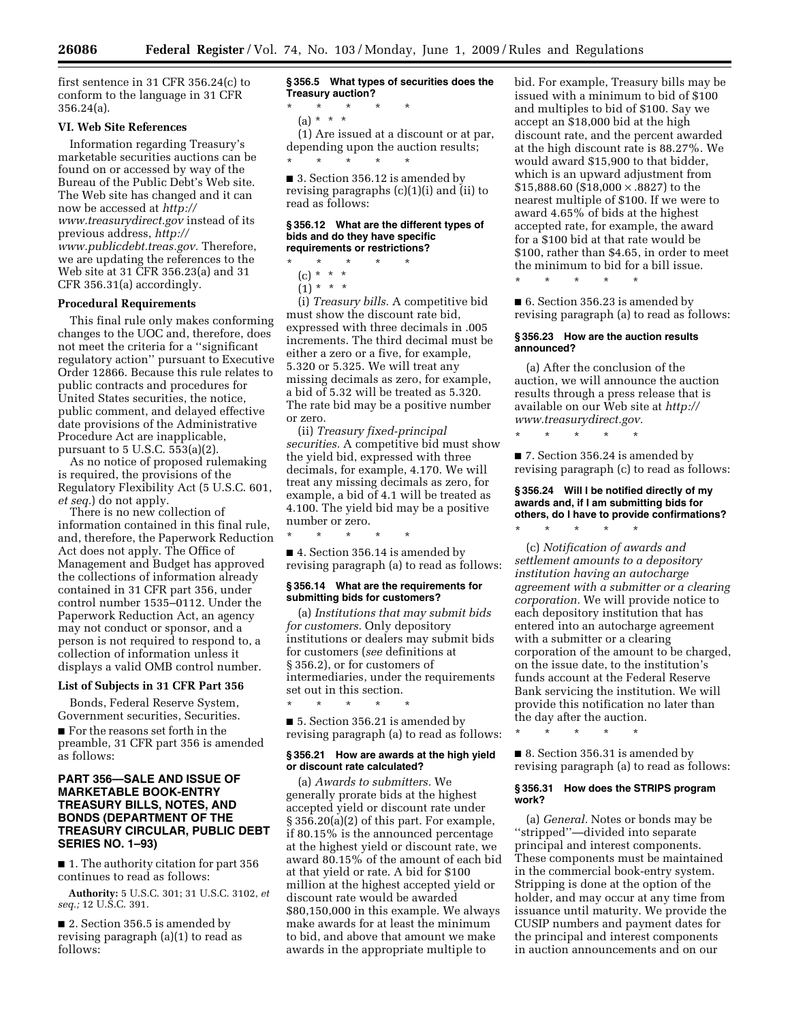first sentence in 31 CFR 356.24(c) to conform to the language in 31 CFR 356.24(a).

# **VI. Web Site References**

Information regarding Treasury's marketable securities auctions can be found on or accessed by way of the Bureau of the Public Debt's Web site. The Web site has changed and it can now be accessed at *http:// [www.treasurydirect.gov](http://www.treasurydirect.gov)* instead of its

previous address, *http:// [www.publicdebt.treas.gov.](http://www.publicdebt.treas.gov)* Therefore, we are updating the references to the Web site at 31 CFR 356.23(a) and 31 CFR 356.31(a) accordingly.

## **Procedural Requirements**

This final rule only makes conforming changes to the UOC and, therefore, does not meet the criteria for a ''significant regulatory action'' pursuant to Executive Order 12866. Because this rule relates to public contracts and procedures for United States securities, the notice, public comment, and delayed effective date provisions of the Administrative Procedure Act are inapplicable, pursuant to 5 U.S.C. 553(a)(2).

As no notice of proposed rulemaking is required, the provisions of the Regulatory Flexibility Act (5 U.S.C. 601, *et seq.*) do not apply.

There is no new collection of information contained in this final rule, and, therefore, the Paperwork Reduction Act does not apply. The Office of Management and Budget has approved the collections of information already contained in 31 CFR part 356, under control number 1535–0112. Under the Paperwork Reduction Act, an agency may not conduct or sponsor, and a person is not required to respond to, a collection of information unless it displays a valid OMB control number.

#### **List of Subjects in 31 CFR Part 356**

Bonds, Federal Reserve System, Government securities, Securities. ■ For the reasons set forth in the preamble, 31 CFR part 356 is amended as follows:

# **PART 356—SALE AND ISSUE OF MARKETABLE BOOK-ENTRY TREASURY BILLS, NOTES, AND BONDS (DEPARTMENT OF THE TREASURY CIRCULAR, PUBLIC DEBT SERIES NO. 1–93)**

■ 1. The authority citation for part 356 continues to read as follows:

**Authority:** 5 U.S.C. 301; 31 U.S.C. 3102, *et seq.;* 12 U.S.C. 391.

■ 2. Section 356.5 is amended by revising paragraph (a)(1) to read as follows:

**§ 356.5 What types of securities does the Treasury auction?**  \* \* \* \* \*

(a) \* \* \*

(1) Are issued at a discount or at par, depending upon the auction results; \* \* \* \* \*

■ 3. Section 356.12 is amended by revising paragraphs (c)(1)(i) and (ii) to read as follows:

#### **§ 356.12 What are the different types of bids and do they have specific requirements or restrictions?**

# \* \* \* \* \*

(c) \* \* \*

 $(1) * * * *$ 

(i) *Treasury bills.* A competitive bid must show the discount rate bid, expressed with three decimals in .005 increments. The third decimal must be either a zero or a five, for example, 5.320 or 5.325. We will treat any missing decimals as zero, for example, a bid of 5.32 will be treated as 5.320. The rate bid may be a positive number or zero.

(ii) *Treasury fixed-principal securities.* A competitive bid must show the yield bid, expressed with three decimals, for example, 4.170. We will treat any missing decimals as zero, for example, a bid of 4.1 will be treated as 4.100. The yield bid may be a positive number or zero.

\* \* \* \* \*

■ 4. Section 356.14 is amended by revising paragraph (a) to read as follows:

## **§ 356.14 What are the requirements for submitting bids for customers?**

(a) *Institutions that may submit bids for customers.* Only depository institutions or dealers may submit bids for customers (*see* definitions at § 356.2), or for customers of intermediaries, under the requirements set out in this section.

■ 5. Section 356.21 is amended by revising paragraph (a) to read as follows:

\* \* \* \* \*

## **§ 356.21 How are awards at the high yield or discount rate calculated?**

(a) *Awards to submitters.* We generally prorate bids at the highest accepted yield or discount rate under § 356.20(a)(2) of this part. For example, if 80.15% is the announced percentage at the highest yield or discount rate, we award 80.15% of the amount of each bid at that yield or rate. A bid for \$100 million at the highest accepted yield or discount rate would be awarded \$80,150,000 in this example. We always make awards for at least the minimum to bid, and above that amount we make awards in the appropriate multiple to

bid. For example, Treasury bills may be issued with a minimum to bid of \$100 and multiples to bid of \$100. Say we accept an \$18,000 bid at the high discount rate, and the percent awarded at the high discount rate is 88.27%. We would award \$15,900 to that bidder, which is an upward adjustment from \$15,888.60 (\$18,000 × .8827) to the nearest multiple of \$100. If we were to award 4.65% of bids at the highest accepted rate, for example, the award for a \$100 bid at that rate would be \$100, rather than \$4.65, in order to meet the minimum to bid for a bill issue.

\* \* \* \* \*

■ 6. Section 356.23 is amended by revising paragraph (a) to read as follows:

## **§ 356.23 How are the auction results announced?**

(a) After the conclusion of the auction, we will announce the auction results through a press release that is [available on our Web site at](http://www.treasurydirect.gov) *http:// www.treasurydirect.gov.* 

\* \* \* \* \*

\* \* \* \* \*

■ 7. Section 356.24 is amended by revising paragraph (c) to read as follows:

# **§ 356.24 Will I be notified directly of my awards and, if I am submitting bids for others, do I have to provide confirmations?**

(c) *Notification of awards and settlement amounts to a depository institution having an autocharge agreement with a submitter or a clearing corporation.* We will provide notice to each depository institution that has entered into an autocharge agreement with a submitter or a clearing corporation of the amount to be charged, on the issue date, to the institution's funds account at the Federal Reserve Bank servicing the institution. We will provide this notification no later than the day after the auction.

\* \* \* \* \*

■ 8. Section 356.31 is amended by revising paragraph (a) to read as follows:

#### **§ 356.31 How does the STRIPS program work?**

(a) *General.* Notes or bonds may be ''stripped''—divided into separate principal and interest components. These components must be maintained in the commercial book-entry system. Stripping is done at the option of the holder, and may occur at any time from issuance until maturity. We provide the CUSIP numbers and payment dates for the principal and interest components in auction announcements and on our